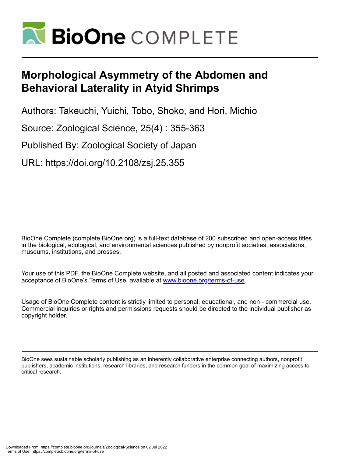

# **Morphological Asymmetry of the Abdomen and Behavioral Laterality in Atyid Shrimps**

Authors: Takeuchi, Yuichi, Tobo, Shoko, and Hori, Michio

Source: Zoological Science, 25(4) : 355-363

Published By: Zoological Society of Japan

URL: https://doi.org/10.2108/zsj.25.355

BioOne Complete (complete.BioOne.org) is a full-text database of 200 subscribed and open-access titles in the biological, ecological, and environmental sciences published by nonprofit societies, associations, museums, institutions, and presses.

Your use of this PDF, the BioOne Complete website, and all posted and associated content indicates your acceptance of BioOne's Terms of Use, available at www.bioone.org/terms-of-use.

Usage of BioOne Complete content is strictly limited to personal, educational, and non - commercial use. Commercial inquiries or rights and permissions requests should be directed to the individual publisher as copyright holder.

BioOne sees sustainable scholarly publishing as an inherently collaborative enterprise connecting authors, nonprofit publishers, academic institutions, research libraries, and research funders in the common goal of maximizing access to critical research.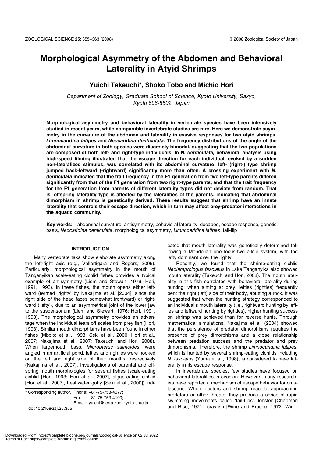# **Morphological Asymmetry of the Abdomen and Behavioral Laterality in Atyid Shrimps**

# **Yuichi Takeuchi\*, Shoko Tobo and Michio Hori**

Department of Zoology, Graduate School of Science, Kyoto University, Sakyo, Kyoto 606-8502, Japan

**Morphological asymmetry and behavioral laterality in vertebrate species have been intensively studied in recent years, while comparable invertebrate studies are rare. Here we demonstrate asymmetry in the curvature of the abdomen and laterality in evasive responses for two atyid shrimps,**  *Limnocaridina latipes* **and** *Neocaridina denticulata***. The frequency distributions of the angle of the abdominal curvature in both species were discretely bimodal, suggesting that the two populations are composed of both left- and right-type individuals. In** *N. denticulata,* **behavioral analysis using high-speed filming illustrated that the escape direction for each individual, evoked by a sudden non-lateralized stimulus, was correlated with its abdominal curvature: left- (right-) type shrimp jumped back-leftward (-rightward) significantly more than often. A crossing experiment with** *N. denticulata* **indicated that the trait frequency in the F1 generation from two left-type parents differed significantly from that of the F1 generation from two right-type parents, and that the trait frequency for the F1 generation from parents of different laterality types did not deviate from random. That is, offspring laterality type is affected by the lateralities of the parents, indicating that abdominal dimorphism in shrimp is genetically derived. These results suggest that shrimp have an innate laterality that controls their escape direction, which in turn may affect prey-predator interactions in the aquatic community.**

**Key words:** abdominal curvature, antisymmetry, behavioral laterality, decapod, escape response, genetic basis, Neocaridina denticulata, morphological asymmetry, Limnocaridina latipes, tail-flip

#### **INTRODUCTION**

Many vertebrate taxa show elaborate asymmetry along the left-right axis (e.g., Vallortigara and Rogers, 2005). Particularly, morphological asymmetry in the mouth of Tanganyikan scale-eating cichlid fishes provides a typical example of antisymmetry (Liem and Stewart, 1976; Hori, 1991, 1993). In these fishes, the mouth opens either leftward (termed 'righty' by Nakajima et al. [2004], since the right side of the head faces somewhat frontward) or rightward ('lefty'), due to an asymmetrical joint of the lower jaw to the suspensorium (Liem and Stewart, 1976; Hori, 1991, 1993). The morphological asymmetry provides an advantage when the individual tears off scales from prey fish (Hori, 1993). Similar mouth dimorphisms have been found in other fishes (Mboko et al., 1998; Seki et al., 2000; Hori et al., 2007; Nakajima et al., 2007; Takeuchi and Hori, 2008). When largemouth bass, Micropterus salmoides, were angled in an artificial pond, lefties and righties were hooked on the left and right side of their mouths, respectively (Nakajima et al., 2007). Investigations of parental and offspring mouth morphologies for several fishes (scale-eating cichlid [Hori, 1993; Hori et al., 2007], algae-eating cichlid [Hori et al., 2007], freshwater goby [Seki et al., 2000]) indi-

\* Corresponding author. Phone: +81-75-753-4077; Fax : +81-75-753-4100; E-mail: yuichi@terra.zool.kyoto-u.ac.jp doi:10.2108/zsj.25.355

cated that mouth laterality was genetically determined following a Mendelian one locus-two allele system, with the lefty dominant over the righty.

Recently, we found that the shrimp-eating cichlid Neolamprologus fasciatus in Lake Tanganyika also showed mouth laterality (Takeuchi and Hori, 2008). The mouth laterality in this fish correlated with behavioral laterality during hunting: when aiming at prey, lefties (righties) frequently bent the right (left) side of their body, abutting a rock. It was suggested that when the hunting strategy corresponded to an individual's mouth laterality (i.e., rightward hunting by lefties and leftward hunting by righties), higher hunting success on shrimp was achieved than for reverse hunts. Through mathematical simulations, Nakajima et al. (2004) showed that the persistence of predator dimorphisms requires the presence of prey dimorphisms and a close relationship between predation success and the predator and prey dimorphisms. Therefore, the shrimp Limnocaridina latipes, which is hunted by several shrimp-eating cichlids including N. fasciatus (Yuma et al., 1998), is considered to have laterality in its escape response.

In invertebrate species, few studies have focused on behavioral lateralities in evasion. However, many researchers have reported a mechanism of escape behavior for crustaceans. When lobsters and shrimp react to approaching predators or other threats, they produce a series of rapid swimming movements called 'tail-flips' (lobster [Chapman and Rice, 1971], crayfish [Wine and Krasne, 1972; Wine,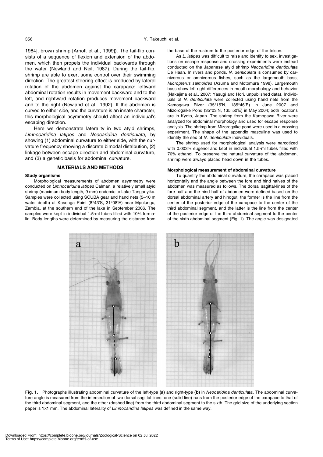1984], brown shrimp [Arnott et al., 1999]). The tail-flip consists of a sequence of flexion and extension of the abdomen, which then propels the individual backwards through the water (Newland and Neil, 1987). During the tail-flip, shrimp are able to exert some control over their swimming direction. The greatest steering effect is produced by lateral rotation of the abdomen against the carapace: leftward abdominal rotation results in movement backward and to the left, and rightward rotation produces movement backward and to the right (Newland et al., 1992). If the abdomen is curved to either side, and the curvature is an innate character, this morphological asymmetry should affect an individual's escaping direction.

Here we demonstrate laterality in two atyid shrimps, Limnocaridina latipes and Neocaridina denticulata, by showing (1) abdominal curvature to either side, with the curvature frequency showing a discrete bimodal distribution, (2) linkage between escape direction and abdominal curvature, and (3) a genetic basis for abdominal curvature.

#### **MATERIALS AND METHODS**

#### **Study organisms**

Morphological measurements of abdomen asymmetry were conducted on Limnocaridina latipes Calman, a relatively small atyid shrimp (maximum body length, 9 mm) endemic to Lake Tanganyika. Samples were collected using SCUBA gear and hand nets (5–10 m water depth) at Kasenga Point (8°43'S, 31°08'E) near Mpulungu, Zambia, at the southern end of the lake in September 2006. The samples were kept in individual 1.5-ml tubes filled with 10% formalin. Body lengths were determined by measuring the distance from

а

the base of the rostrum to the posterior edge of the telson.

As L. latipes was difficult to raise and identify to sex, investigations on escape response and crossing experiments were instead conducted on the Japanese atyid shrimp Neocaridina denticulata De Haan. In rivers and ponds, N. denticulata is consumed by carnivorous or omnivorous fishes, such as the largemouth bass, Micropterus salmoides (Azuma and Motomura 1998). Largemouth bass show left-right differences in mouth morphology and behavior (Nakajima et al., 2007; Yasugi and Hori, unpublished data). Individuals of N. denticulata were collected using hand nets from the Kamogawa River (35°15'N, 135°46'E) in June 2007 and Mizorogaike Pond (35°03'N, 135°50'E) in May 2004; both locations are in Kyoto, Japan. The shrimp from the Kamogawa River were analyzed for abdominal morphology and used for escape response analysis. The shrimp from Mizorogaike pond were used in a crossing experiment. The shape of the appendix masculine was used to identify the sex of N. denticulata individuals.

The shrimp used for morphological analysis were narcotized with 0.003% eugenol and kept in individual 1.5-ml tubes filled with 70% ethanol. To preserve the natural curvature of the abdomen, shrimp were always placed head down in the tubes.

#### **Morphological measurement of abdominal curvature**

To quantify the abdominal curvature, the carapace was placed horizontally and the angle between the fore and hind halves of the abdomen was measured as follows. The dorsal sagittal-lines of the fore half and the hind half of abdomen were defined based on the dorsal abdominal artery and hindgut: the former is the line from the center of the posterior edge of the carapace to the center of the third abdominal segment, and the latter is the line from the center of the posterior edge of the third abdominal segment to the center of the sixth abdominal segment (Fig. 1). The angle was designated

h

**Fig. 1.** Photographs illustrating abdominal curvature of the left-type **(a)** and right-type **(b)** in Neocaridina denticulata. The abdominal curvature angle is measured from the intersection of two dorsal sagittal lines: one (solid line) runs from the posterior edge of the carapace to that of the third abdominal segment, and the other (dashed line) from the third abdominal segment to the sixth. The grid size of the underlying section paper is 1×1 mm. The abdominal laterality of Limnocaridina latipes was defined in the same way.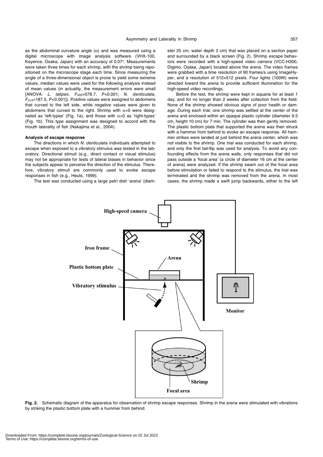as the abdominal curvature angle  $(\alpha)$  and was measured using a digital microscope with image analysis software (VHX-100, Keyence, Osaka, Japan) with an accuracy of 0.07°. Measurements were taken three times for each shrimp, with the shrimp being repositioned on the microscope stage each time. Since measuring the angle of a three-dimensional object is prone to yield some extreme values, median values were used for the following analysis instead of mean values (in actuality, the measurement errors were small [ANOVA: L. latipes, F<sub>326</sub>=578.7, P<0.001; N. denticulata,  $F_{314}=187.5$ ,  $P<0.001$ ]). Positive values were assigned to abdomens that curved to the left side, while negative values were given to abdomens that curved to the right. Shrimp with  $\alpha$ <0 were designated as 'left-types' (Fig. 1a), and those with α>0 as 'right-types' (Fig. 1b). This type assignment was designed to accord with the mouth laterality of fish (Nakajima et al., 2004).

#### **Analysis of escape response**

The directions in which N. denticulata individuals attempted to escape when exposed to a vibratory stimulus was tested in the laboratory. Directional stimuli (e.g., direct contact or visual stimulus) may not be appropriate for tests of lateral biases in behavior since the subjects appear to perceive the direction of the stimulus. Therefore, vibratory stimuli are commonly used to evoke escape responses in fish (e.g., Heuts, 1999).

The test was conducted using a large petri dish 'arena' (diam-

eter 25 cm, water depth 2 cm) that was placed on a section paper and surrounded by a black screen (Fig. 2). Shrimp escape behaviors were recorded with a high-speed video camera (VCC-H300, Digimo, Osaka, Japan) located above the arena. The video frames were grabbed with a time resolution of 90 frames/s using ImageHyper, and a resolution of 512×512 pixels. Four lights (100W) were directed toward the arena to provide sufficient illumination for the high-speed video recordings.

Before the test, the shrimp were kept in aquaria for at least 1 day, and for no longer than 2 weeks after collection from the field. None of the shrimp showed obvious signs of poor health or damage. During each trial, one shrimp was settled at the center of the arena and enclosed within an opaque plastic cylinder (diameter 9.5 cm, height 10 cm) for 7 min. The cylinder was then gently removed. The plastic bottom plate that supported the arena was then struck with a hammer from behind to evoke an escape response. All hammer strikes were landed at just behind the arena center, which was not visible to the shrimp. One trial was conducted for each shrimp, and only the first tail-flip was used for analysis. To avoid any confounding effects from the arena walls, only responses that did not pass outside a 'focal area' (a circle of diameter 16 cm at the center of arena) were analyzed. If the shrimp swam out of the focal area before stimulation or failed to respond to the stimulus, the trial was terminated and the shrimp was removed from the arena. In most cases, the shrimp made a swift jump backwards, either to the left



**Fig. 2.** Schematic diagram of the apparatus for observation of shrimp escape responses. Shrimp in the arena were stimulated with vibrations by striking the plastic bottom plate with a hummer from behind.

Downloaded From: https://complete.bioone.org/journals/Zoological-Science on 02 Jul 2022 Terms of Use: https://complete.bioone.org/terms-of-use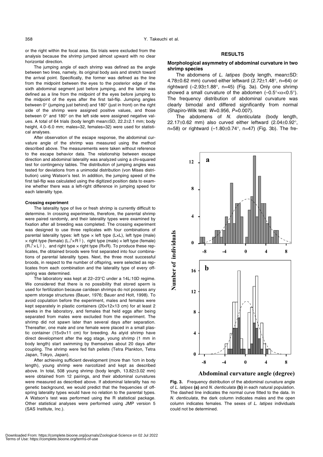or the right within the focal area. Six trials were excluded from the analysis because the shrimp jumped almost upward with no clear horizontal direction.

The jumping angle of each shrimp was defined as the angle between two lines, namely, its original body axis and stretch toward the arrival point. Specifically, the former was defined as the line from the midpoint between the eyes to the posterior edge of the sixth abdominal segment just before jumping, and the latter was defined as a line from the midpoint of the eyes before jumping to the midpoint of the eyes after the first tail-flip. Jumping angles between 0° (jumping just behind) and 180° (just in front) on the right side of the shrimp were assigned positive values, and those between 0° and 180° on the left side were assigned negative values. A total of 64 trials (body length mean±SD, 22.2±2.1 mm; body height, 4.0–6.0 mm; males=32, females=32) were used for statistical analyses.

After observation of the escape response, the abdominal curvature angle of the shrimp was measured using the method described above. The measurements were taken without reference to the escape behavior data. The relationship between escape direction and abdominal laterality was analyzed using a chi-squared test for contingency tables. The distribution of jumping angles was tested for deviations from a unimodal distribution (von Mises distribution) using Watson's test. In addition, the jumping speed of the first tail-flip was calculated using the digitized position data to examine whether there was a left-right difference in jumping speed for each laterality type.

#### **Crossing experiment**

The laterality type of live or fresh shrimp is currently difficult to determine. In crossing experiments, therefore, the parental shrimp were paired randomly, and their laterality types were examined by fixation after all breeding was completed. The crossing experiment was designed to use three replicates with four combinations of parental laterality types: left type  $\times$  left type (L $\times$ L), left type (male)  $\times$  right type (female) (L $\sqrt{3}\times$ R $\frac{1}{7}$ ), right type (male)  $\times$  left type (female)  $(R\sqrt{3} \times L^{\circ})$ , and right type  $\times$  right type (R $\times$ R). To produce these replicates, the obtained broods were first separated into four combinations of parental laterality types. Next, the three most successful broods, in respect to the number of offspring, were selected as replicates from each combination and the laterality type of every offspring was determined.

The laboratory was kept at 22–23°C under a 14L:10D regime. We considered that there is no possibility that stored sperm is used for fertilization because caridean shrimps do not possess any sperm storage structures (Bauer, 1976; Bauer and Holt, 1998). To avoid copulation before the experiment, males and females were kept separately in plastic containers (20×12×13 cm) for at least 2 weeks in the laboratory, and females that held eggs after being separated from males were excluded from the experiment. The shrimp did not spawn later than several days after separation. Thereafter, one male and one female were placed in a small plastic container (15×9×11 cm) for breeding. As atyid shrimp have direct development after the egg stage, young shrimp (1 mm in body length) start swimming by themselves about 20 days after coupling. The shrimp were fed fish pellets (Tetra Plankton, Tetra Japan, Tokyo, Japan).

After achieving sufficient development (more than 1cm in body length), young shrimp were narcotized and kept as described above. In total, 508 young shrimp (body length, 13.82±3.02 mm) were obtained from 12 pairings, and their abdominal curvatures were measured as described above. If abdominal laterality has no genetic background, we would predict that the frequencies of offspring laterality types would have no relation to the parental types. A Watson's test was performed using the R statistical package. Other statistical analyses were performed using JMP version 5 (SAS Institute, Inc.).

# **RESULTS**

# **Morphological asymmetry of abdominal curvature in two shrimp species**

The abdomens of  $L$ . latipes (body length, mean $\pm$ SD: 4.78 $\pm$ 0.62 mm) curved either leftward (2.72 $\pm$ 1.48 $^{\circ}$ , n=64) or rightward  $(-2.93\pm1.88^{\circ}, n=45)$  (Fig. 3a). Only one shrimp showed a small curvature of the abdomen  $(-0.5^{\circ} < \alpha < 0.5^{\circ})$ . The frequency distribution of abdominal curvature was clearly bimodal and differed significantly from normal (Shapiro-Wilk test: W=0.956, P=0.007).

The abdomens of N. denticulata (body length, 22.17±0.62 mm) also curved either leftward (2.04±0.92°, n=58) or rightward  $(-1.80 \pm 0.74^{\circ})$ , n=47) (Fig. 3b). The fre-



Abdominal curvature angle (degree)

**Fig. 3.** Frequency distribution of the abdominal curvature angle of L. latipes **(a)** and N. denticulata **(b)** in each natural population. The dashed line indicates the normal curve fitted to the data. In N. denticulata, the dark column indicates males and the open column indicates females. The sexes of L. latipes individuals could not be determined.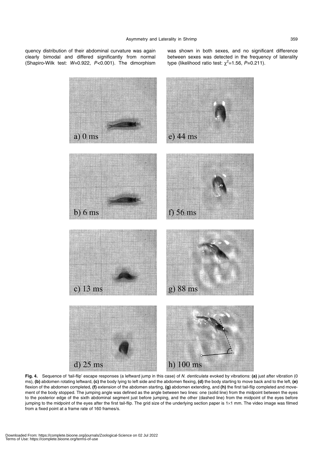quency distribution of their abdominal curvature was again clearly bimodal and differed significantly from normal (Shapiro-Wilk test: W=0.922, P<0.001). The dimorphism was shown in both sexes, and no significant difference between sexes was detected in the frequency of laterality type (likelihood ratio test:  $\chi^2$ =1.56, P=0.211).



**Fig. 4.** Sequence of 'tail-flip' escape responses (a leftward jump in this case) of N. denticulata evoked by vibrations: **(a)** just after vibration (0 ms), **(b)** abdomen rotating leftward, **(c)** the body lying to left side and the abdomen flexing, **(d)** the body starting to move back and to the left, **(e)**  flexion of the abdomen completed, **(f)** extension of the abdomen starting, **(g)** abdomen extending, and **(h)** the first tail-flip completed and movement of the body stopped. The jumping angle was defined as the angle between two lines: one (solid line) from the midpoint between the eyes to the posterior edge of the sixth abdominal segment just before jumping, and the other (dashed line) from the midpoint of the eyes before jumping to the midpoint of the eyes after the first tail-flip. The grid size of the underlying section paper is 1×1 mm. The video image was filmed from a fixed point at a frame rate of 160 frames/s.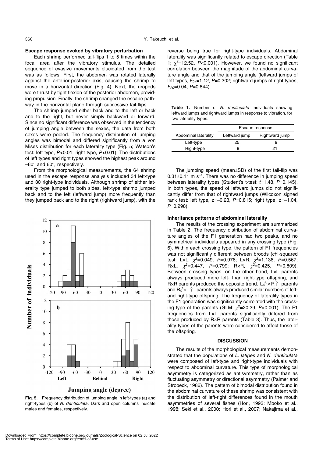# **Escape response evoked by vibratory perturbation**

Each shrimp performed tail-flips 1 to 5 times within the focal area after the vibratory stimulus. The detailed sequence of evasive movements elucidated from the test was as follows. First, the abdomen was rotated laterally against the anterior-posterior axis, causing the shrimp to move in a horizontal direction (Fig. 4). Next, the uropods were thrust by tight flexion of the posterior abdomen, providing propulsion. Finally, the shrimp changed the escape pathway in the horizontal plane through successive tail-flips.

The shrimp jumped either back and to the left or back and to the right, but never simply backward or forward. Since no significant difference was observed in the tendency of jumping angle between the sexes, the data from both sexes were pooled. The frequency distribution of jumping angles was bimodal and differed significantly from a von Mises distribution for each laterality type (Fig. 5; Watson's test: left type, P<0.01; right type, P<0.01). The distributions of left types and right types showed the highest peak around –60° and 60°, respectively.

From the morphological measurements, the 64 shrimp used in the escape response analysis included 34 left-type and 30 right-type individuals. Although shrimp of either laterality type jumped to both sides, left-type shrimp jumped back and to the left (leftward jump) more frequently than they jumped back and to the right (rightward jump), with the



**Fig. 5.** Frequency distribution of jumping angle in left-types (a) and right-types (b) of N. denticulata. Dark and open columns indicate males and females, respectively.

reverse being true for right-type individuals. Abdominal laterality was significantly related to escape direction (Table 1;  $\chi^2$ =12.52, P<0.001). However, we found no significant correlation between the magnitude of the abdominal curvature angle and that of the jumping angle (leftward jumps of left types,  $F_{24}=1.12$ ,  $P=0.302$ ; rightward jumps of right types,  $F_{20}=0.04, P=0.844$ ).

**Table 1.** Number of N. denticulata individuals showing leftward jumps and rightward jumps in response to vibration, for two laterality types.

|                      | Escape response |                |  |  |
|----------------------|-----------------|----------------|--|--|
| Abdominal laterality | Leftward jump   | Rightward jump |  |  |
| Left-type            | 25              | 9              |  |  |
| Right-type           | ч               |                |  |  |

The jumping speed (mean±SD) of the first tail-flip was  $0.31\pm0.11$  m s<sup>-1</sup>. There was no difference in jumping speed between laterality types (Student's t-test:  $t=1.48$ ,  $P=0.145$ ). In both types, the speed of leftward jumps did not significantly differ from that of rightward jumps (Wilcoxon signed rank test: left type,  $z=-0.23$ ,  $P=0.815$ ; right type,  $z=-1.04$ ,  $P=0.298$ ).

#### **Inheritance patterns of abdominal laterality**

The results of the crossing experiment are summarized in Table 2. The frequency distribution of abdominal curvature angles of the F1 generation had two peaks, and no symmetrical individuals appeared in any crossing type (Fig. 6). Within each crossing type, the pattern of F1 frequencies was not significantly different between broods (chi-squared test: LxL,  $\chi^2$ =0.049, P=0.976; LxR,  $\chi^2$ =1.136, P=0.567; R×L,  $\chi^2$ =0.447, P=0.799; R×R,  $\chi^2$ =0.425, P=0.809). Between crossing types, on the other hand, L×L parents always produced more left- than right-type offspring, and R×R parents produced the opposite trend.  $L \sqrt[3]{\times} R$  parents and  $R\mathcal{J} \times L\mathcal{F}$  parents always produced similar numbers of leftand right-type offspring. The frequency of laterality types in the F1 generation was significantly correlated with the crossing type of the parents (GLM:  $\chi^2$ =20.39, P<0.001). The F1 frequencies from L×L parents significantly differed from those produced by R×R parents (Table 3). Thus, the laterality types of the parents were considered to affect those of the offspring.

#### **DISCUSSION**

The results of the morphological measurements demonstrated that the populations of L. latipes and N. denticulata were composed of left-type and right-type individuals with respect to abdominal curvature. This type of morphological asymmetry is categorized as antisymmetry, rather than as fluctuating asymmetry or directional asymmetry (Palmer and Strobeck, 1986). The pattern of bimodal distribution found in the abdominal curvature of these shrimp was consistent with the distribution of left-right differences found in the mouth asymmetries of several fishes (Hori, 1993; Mboko et al., 1998; Seki et al., 2000; Hori et al., 2007; Nakajima et al.,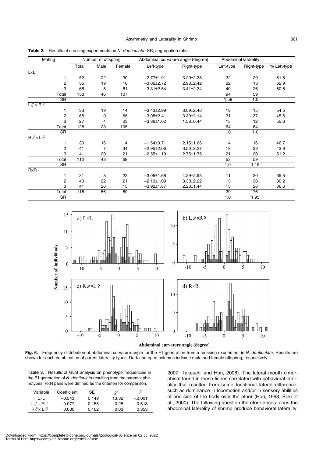| Mating                               |                | Number of offspring |                 |        | Abdominal curvature angle (degree) |                 | Abdominal laterality |            |             |
|--------------------------------------|----------------|---------------------|-----------------|--------|------------------------------------|-----------------|----------------------|------------|-------------|
|                                      |                | Total               | Male            | Female | Left-type                          | Right-type      | Left-type            | Right-type | % Left-type |
| <b>LxL</b>                           |                |                     |                 |        |                                    |                 |                      |            |             |
|                                      |                | 52                  | 22              | 30     | $-2.77 \pm 1.91$                   | $3.29 \pm 2.38$ | 32                   | 20         | 61.5        |
|                                      | $\overline{2}$ | 35                  | 19              | 16     | $-3.02 \pm 2.72$                   | $2.93 \pm 2.42$ | 22                   | 13         | 62.9        |
|                                      | 3              | 66                  | 5               | 61     | $-3.31 \pm 2.54$                   | $3.41 \pm 2.34$ | 40                   | 26         | 60.6        |
|                                      | Total          | 153                 | 46              | 107    |                                    |                 | 94                   | 59         |             |
|                                      | <b>SR</b>      |                     |                 |        |                                    |                 | 1.59                 | 1.0        |             |
| $L \sqrt[3]{\times} R$ $\frac{6}{7}$ |                |                     |                 |        |                                    |                 |                      |            |             |
|                                      | 1              | 33                  | 19              | 14     | $-3.43 \pm 2.99$                   | $3.09 \pm 2.46$ | 18                   | 15         | 54.5        |
|                                      | 2              | 68                  | 0               | 68     | $-3.08 \pm 2.41$                   | $3.30 \pm 2.14$ | 31                   | 37         | 45.6        |
|                                      | 3              | 27                  | 4               | 23     | $-3.36 \pm 1.02$                   | $1.58 \pm 0.44$ | 15                   | 12         | 55.6        |
|                                      | Total          | 128                 | $\overline{23}$ | 105    |                                    |                 | 64                   | 64         |             |
|                                      | <b>SR</b>      |                     |                 |        |                                    |                 | 1.0                  | 1.0        |             |
| $R\sqrt[3]{\times}L$ $\frac{6}{5}$   |                |                     |                 |        |                                    |                 |                      |            |             |
|                                      | 1              | 30                  | 16              | 14     | $-1.54 \pm 0.71$                   | $2.15 \pm 1.06$ | 14                   | 16         | 46.7        |
|                                      | $\overline{2}$ | 41                  | 7               | 34     | $-2.95 \pm 2.06$                   | $3.50 \pm 2.27$ | 18                   | 23         | 43.9        |
|                                      | 3              | 41                  | 20              | 21     | $-2.55 \pm 1.19$                   | $2.75 \pm 1.75$ | 21                   | 20         | 51.2        |
|                                      | Total          | $\overline{112}$    | 43              | 69     |                                    |                 | $\overline{53}$      | 59         |             |
|                                      | <b>SR</b>      |                     |                 |        |                                    |                 | 1.0                  | 1.15       |             |
| $R\times R$                          |                |                     |                 |        |                                    |                 |                      |            |             |
|                                      | 1              | 31                  | 8               | 23     | $-3.05 \pm 1.68$                   | $4.29 \pm 2.95$ | 11                   | 20         | 35.5        |
|                                      | 2              | 43                  | 22              | 21     | $-2.13 \pm 1.09$                   | $3.30 \pm 2.22$ | 13                   | 30         | 30.2        |
|                                      | 3              | 41                  | 26              | 15     | $-3.92 \pm 1.87$                   | $2.28 \pm 1.44$ | 15                   | 26         | 36.6        |
|                                      | Total          | 115                 | 56              | 59     |                                    |                 | 39                   | 76         |             |
|                                      | SR             |                     |                 |        |                                    |                 | 1.0                  | 1.95       |             |

**Table 2.** Results of crossing experiments on N. denticulata. SR, segregation ratio.



Abdominal curvature angle (degree)

Fig. 6. Frequency distribution of abdominal curvature angle for the F1 generation from a crossing experiment in N. denticulata. Results are shown for each combination of parent laterality types. Dark and open columns indicate male and female offspring, respectively.

**Table 3.** Results of GLM analysis on phenotype frequencies in the F1 generation of N. denticulata resulting from the parental phenotypes. R×R pairs were defined as the criterion for comparison.

| Variable                    | Coefficient | SF.   | v2    |         |
|-----------------------------|-------------|-------|-------|---------|
| l ×l                        | $-0.543$    | 0.149 | 13.32 | < 0.001 |
| $L \partial x$ R $\partial$ | $-0.077$    | 0.155 | 0.25  | 0.618   |
| $R\partial xL +$            | 0.030       | 0.162 | 0.03  | 0.853   |

2007; Takeuchi and Hori, 2008). The lateral mouth dimorphism found in these fishes correlated with behavioral laterality that resulted from some functional lateral difference, such as dominance in locomotion and/or in sensory abilities of one side of the body over the other (Hori, 1993; Seki et al., 2000). The following question therefore arises: does the abdominal laterality of shrimp produce behavioral laterality,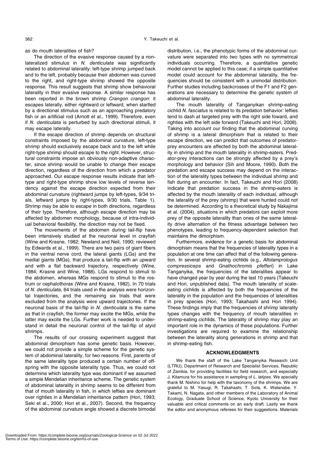as do mouth lateralities of fish?

The direction of the evasive response caused by a nonlateralized stimulus in N. denticulata was significantly related to abdominal laterality: left-type shrimp jumped back and to the left, probably because their abdomen was curved to the right, and right-type shrimp showed the opposite response. This result suggests that shrimp show behavioral laterality in their evasive response. A similar response has been reported in the brown shrimp Crangon crangon: it escapes laterally, either rightward or leftward, when startled by a directional stimulus such as an approaching predatory fish or an artificial rod (Arnott et al., 1999). Therefore, even if N. denticulata is perturbed by such directional stimuli, it may escape laterally.

If the escape direction of shrimp depends on structural constraints imposed by the abdominal curvature, left-type shrimp should exclusively escape back and to the left while right-type shrimp should escape to the right. However, structural constraints impose an obviously non-adaptive character, since shrimp would be unable to change their escape direction, regardless of the direction from which a predator approached. Our escape response results indicate that lefttype and right-type shrimp show low levels of reverse tendency against the escape direction expected from their abdominal curvature (rightward jumps by left-types, 9/34 trials, leftward jumps by right-types, 9/30 trials, Table 1). Shrimp may be able to escape in both directions, regardless of their type. Therefore, although escape direction may be affected by abdomen morphology, because of intra-individual behavioral flexibility, the direction may not be fixed.

The movements of the abdomen during tail-flip have been intensively studied at the neuronal level in crayfish (Wine and Krasne, 1982; Newland and Neil, 1990; reviewed by Edwards et al., 1999). There are two pairs of giant fibers in the ventral nerve cord, the lateral giants (LGs) and the medial giants (MGs), that produce a tail-flip with an upward and with a flat backward trajectory, respectively (Wine, 1984; Krasne and Wine, 1988). LGs respond to stimuli to the abdomen, whereas MGs respond to stimuli to the rostrum or cephalothorax (Wine and Krasne, 1982). In 70 trials of N. denticulata, 64 trials used in the analysis were horizontal trajectories, and the remaining six trials that were excluded from the analysis were upward trajectories. If the neuronal basis of the tail-flip in N. denticulata is the same as that in crayfish, the former may excite the MGs, while the latter may excite the LGs. Further work is needed to understand in detail the neuronal control of the tail-flip of atyid shrimps.

The results of our crossing experiment suggest that abdominal dimorphism has some genetic basis. However, we could not provide a simple scheme for the genetic system of abdominal laterality, for two reasons. First, parents of the same laterality type produced a certain number of offspring with the opposite laterality type. Thus, we could not determine which laterality type was dominant if we assumed a simple Mendelian inheritance scheme. The genetic system of abdominal laterality in shrimp seems to be different from that of mouth laterality in fish, in which lefties are dominant over righties in a Mendelian inheritance pattern (Hori, 1993; Seki et al., 2000; Hori et al., 2007). Second, the frequency of the abdominal curvature angle showed a discrete bimodal distribution, i.e., the phenotypic forms of the abdominal curvature were separated into two types with no symmetrical individuals occurring. Therefore, a quantitative genetic model cannot be applied to this case; if a simple quantitative model could account for the abdominal laterality, the frequencies should be consistent with a unimodal distribution. Further studies including backcrosses of the F1 and F2 generations are necessary to determine the genetic system of abdominal laterality.

The mouth laterality of Tanganyikan shrimp-eating cichlid N. fasciatus is related to its predation behavior: lefties tend to dash at targeted prey with the right side foward, and righties with the left side forward (Takeuchi and Hori, 2008). Taking into account our finding that the abdominal curving of shrimp is a lateral dimorphism that is related to their escape direction, we can predict that outcomes of predatorprey encounters are affected by both the abdominal laterality in shrimp and the mouth laterality in shrimp-eaters. Predator-prey interactions can be strongly affected by a prey's morphology and behavior (Sih and Moore, 1990). Both the predation and escape success may depend on the interaction of the laterality types between the individual shrimp and fish during an encounter. In fact, Takeuchi and Hori (2008) indicate that predation success in the shrimp-eaters is affected by the mouth laterality of each individual, although the laterality of the prey (shrimp) that were hunted could not be determined. According to a theoretical study by Nakajima et al. (2004), situations in which predators can exploit more prey of the opposite laterality than ones of the same laterality drive alternation of the fitness advantage between two phenotypes, leading to frequency-dependent selection that maintains the dimorphism.

Furthermore, evidence for a genetic basis for abdominal dimorphism means that the frequencies of laterality types in a population at one time can affect that of the following generation. In several shrimp-eating cichlids (e.g., Altolamprologus compressiceps and Gnathochromis pfefferi) in Lake Tanganyika, the frequencies of the lateralities appear to have changed year by year during the last 10 years (Takeuchi and Hori, unpublished data). The mouth laterality of scaleeating cichlids is affected by both the frequencies of the laterality in the population and the frequencies of lateralities in prey species (Hori, 1993; Takahashi and Hori 1994). These findings imply that the frequencies of shrimp laterality types changes with the frequency of mouth lateralities in shrimp-eating cichlids. The laterality of shrimp may play an important role in the dynamics of these populations. Further investigations are required to examine the relationship between the laterality along generations in shrimp and that in shrimp-eating fish.

# **ACKNOWLEDGMENTS**

We thank the staff of the Lake Tanganyika Research Unit (LTRU), Department of Research and Specialist Services, Republic of Zambia, for providing facilities for field research, and especially J. Kitamura for his assistance in sampling of L. latipes. We specially thank M. Nishino for help with the taxonomy of the shrimps. We are grateful to M. Yasugi, R. Takahashi, T. Sota, K. Watanabe, Y. Takami, N. Nagata, and other members of the Laboratory of Animal Ecology, Graduate School of Science, Kyoto University for their valuable and critical comments on an early draft. Lastly we thank the editor and anonymous referees for their suggestions. Materials